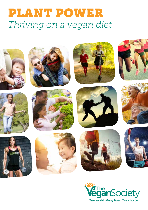## PLANT POWER *Thriving on a vegan diet*